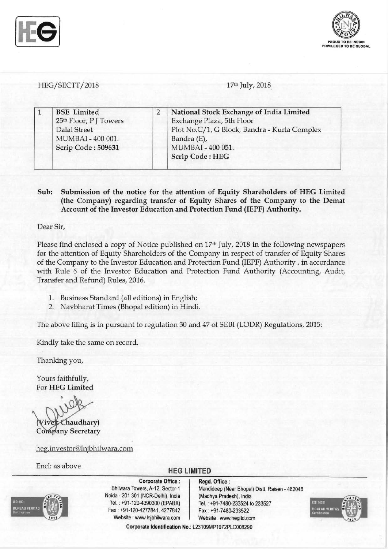



*HEG/SECTT/2018*  17th July, 2018

| <b>BSE</b> Limited<br>25th Floor, P J Towers | National Stock Exchange of India Limited<br>Exchange Plaza, 5th Floor |
|----------------------------------------------|-----------------------------------------------------------------------|
| Dalal Street<br>MUMBAI - 400 001.            | Plot No.C/1, G Block, Bandra - Kurla Complex<br>Bandra (E),           |
| Scrip Code: 509631                           | MUMBAI - 400 051.<br>Scrip Code: HEG                                  |

### Sub: Submission of the notice for the attention of Equity Shareholders of HEG Limited (the Company) regarding transfer of Equity Shares of the Company to the Demat Account of the Investor Education and Protection Fund (IEPF) Authority.

Dear Sir,

Please find enclosed a copy of Notice published on 17<sup>th</sup> July, 2018 in the following newspapers for the attention of Equity Shareholders of the Company in respect of transfer of Equity Shares of the Company to the Investor Education and Protection Fund (IEPF) Authority, in accordance with Rule 6 of the Investor Education and Protection Fund Authority (Accounting, Audit, Transfer and Refund) Rules, 2016.

- 1. Business Standard (all editions) in English;
- 2. Navbharat Times (Bhopal edition) in Hindi.

The above filing is in pursuant to regulation 30 and 47 of SEBI (LODR) Regulations, 2015:

Kindly take the same on record.

Thanking you,

Yours faithfully, For HEG Limited

Chaudhary) Company Secretary

heg.investor@lnjbhilwara.com

Encl: as above **HEG LIMITED** 

Corporate Identification No.: L23109MP1972PLC008290



Corporate Office : | Regd. Office : Noida - 201 301 (NCR-Delhi), India (Madhya Pradesh), India Tel. : +91-120-4390300 (EPABX) Tel. : +91-7480-233524 to 233527 Fax: +91-120-4277841,4277812 Fax: +91-7480-233522 Website: www Injbhilwara.com | Website: www.hegltd.com

Bhilwara Towers, A-12, Sector-1 | Mandideep (Near Bhopal) Distt. Raisen - 462046

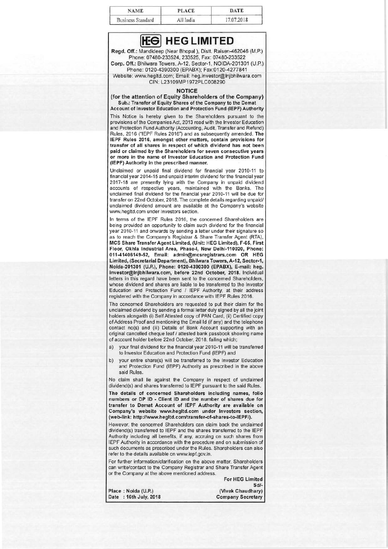| <b>NAME</b>              | <b>PLACE</b> | <b>DATE</b> |
|--------------------------|--------------|-------------|
| <b>Business Standard</b> | All India    | 17.07.2018  |

## **[tEel HEG LIMITED**

Regd. Off.: Mandideep (Near Bhopal ), Distt. Raisen-462046 (M.P.) Phone: 07480-233524, 233525, Fax: 07480-233522 Corp. Off.: Bhilwara Towers, A-12, Sector-1, NOIDA-201301 (U.P.) Phone: 0120-4390300 (EPABX); Fax:0120-4277841

 Website: www.hegltd .com; Email: heg.investor@lnjbhilwara.com CIN: L23109MP1972PLC008290

#### **NOTICE**

 (for the attention of Equity Shareholders of the Company) Sub.: Transfer of Equity Shares of the Company to the Demat Account of Investor Education and Protection Fund (IEPF) Authority

This Notice is hereby given to the Shareholders pursuant to the provisions of the Companies Act, 2013 read with the Investor Education and Protection Fund Authority (Accounting, Audit, Transfer and Refund) Rules, 2016 ("IEPF Rules 2016") and as subsequently amended. The IEPF Rules 2016, amongst other matters, contain provisions for transfer of all shares in respect of which dividend has not been paid or claimed by the Shareholders for seven consecutive years or more in the name of Investor Education and Protection Fund (IEPF) Authority in the prescribed manner.

Unclaimed or unpaid final dividend for financial year 2010-11 to financial year 2014-15 and unpaid interim dividend for the financial year 2017-18 are presently lying with the Company in unpaid dividend accounts of respective years, maintained with the Banks. The unclaimed final dividend for the financial year 2010-11 will be due for transfer on 22nd October, 2018. The complete details regarding unpaid/ unclaimed dividend amount are available at the Company's website www.hegltd.com under Investors section.

In terms of the IEPF Rules 2016, the concerned Shareholders are being provided an opportunity to claim such dividend for the financial year 2010-11 and onwards by sending a leiter under their signature so as to reach the Company's Registrar & Share Transfer Agent (RTA), MCS Share Transfer Agent Limited, (Unit: HEG Limited), F-S5, First Floor, Okhla Industrial Area, Phase-I, New Delhi-110020, Phone: 011-41406149-52, Email: admin@mcsregistrars.com OR HEG Limited, (Secretarial Department), Bhilwara Towers, A-12, Sector-1, Nolda-201301 (U.P.), Phone: 0120-4390300 (EPABX), E-mail: heg. investor@lnjbhilwara.com, before 22nd October, 2018. Individual letters in this regard have been sent to the concerned Shareholders, whose dividend and shares are liable to be transferred to the Investor Education and Protection Fund / IEPF Authority, at their address registered with the Company in accordance with IEPF Rules 2016.

The concerned Shareholders are requested to put their claim for the unclaimed dividend by sending a formal letter duly signed by all the joint holders alongwith (i) Self Attested copy of PAN Card, (ii) Certified copy of Address Proof and mentioning the Email Id (if any) and the telephone contact no(s) and (iii) Details of Bank Account supporting with an original cancelled cheque leaf / attested bank passbook showing name of account holder before 22nd October, 2018, failing which;

a) your final dividend for the financial year 2010-11 will be transferred to Investor Education and Protection Fund (IEPF) and

b) your entire share(s) will be transferred to the Investor Education and Protection Fund (IEPF) Authority as prescribed in the above said Rules.

No claim shall lie against the Company in respect of unclaimed dividend(s) and shares transferred to IEPF pursuant to the said Rules. The details of concerned Shareholders including names, folio numbers or DP ID - Client ID and the number of shares due for transfer to Demat Account of IEPF Authority are available on Company's website www.hegltd.com under Investors section,

(web-link: http://www.hegltd.com/transfer-of-shares-to-IEPF/). However, the concerned Shareholders can claim back the unclaimed dividend(s) transferred to IEPF and the shares transferred to the IEPF Authority including all benefits, if any, accruing on such shares from IEPF Authority in accordance with the procedure and on submission of

such documents as prescribed under the Rules. Shareholders can also refer to the details available on www.iepf.gov.in. For further information/clarification on the above matter, Shareholders can write/contact to the Company Registrar and Share Transfer Agent

or the Company at the above mentioned address. For HEG Limited Sd/ Place: Noida (U.P.) (Vivek Chaudhary)<br>Date : 16th July, 2018 (Dompany Secretary Date : 16th July, 2018